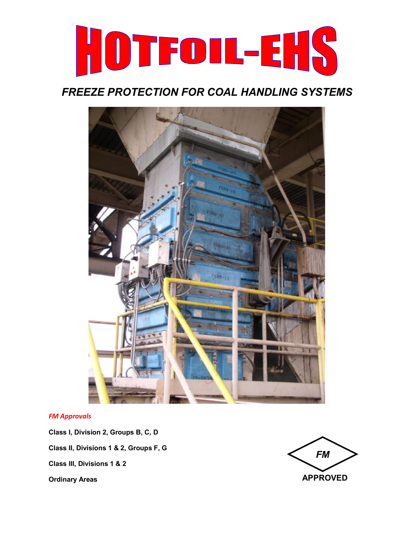

# *FREEZE PROTECTION FOR COAL HANDLING SYSTEMS*



#### *FM Approvals*

**Class I, Division 2, Groups B, C, D Class II, Divisions 1 & 2, Groups F, G Class III, Divisions 1 & 2 Ordinary Areas**

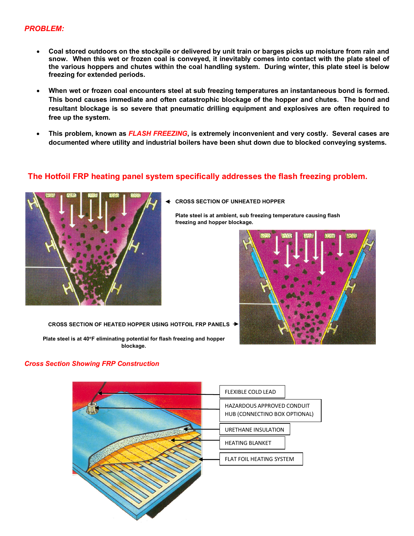- **Coal stored outdoors on the stockpile or delivered by unit train or barges picks up moisture from rain and snow. When this wet or frozen coal is conveyed, it inevitably comes into contact with the plate steel of the various hoppers and chutes within the coal handling system. During winter, this plate steel is below freezing for extended periods.**
- **When wet or frozen coal encounters steel at sub freezing temperatures an instantaneous bond is formed. This bond causes immediate and often catastrophic blockage of the hopper and chutes. The bond and resultant blockage is so severe that pneumatic drilling equipment and explosives are often required to free up the system.**
- **This problem, known as** *FLASH FREEZING***, is extremely inconvenient and very costly. Several cases are documented where utility and industrial boilers have been shut down due to blocked conveying systems.**

### **The Hotfoil FRP heating panel system specifically addresses the flash freezing problem.**



**CROSS SECTION OF UNHEATED HOPPER**

**Plate steel is at ambient, sub freezing temperature causing flash freezing and hopper blockage.** 



**CROSS SECTION OF HEATED HOPPER USING HOTFOIL FRP PANELS**

**Plate steel is at 40F eliminating potential for flash freezing and hopper blockage.** 

#### *Cross Section Showing FRP Construction*

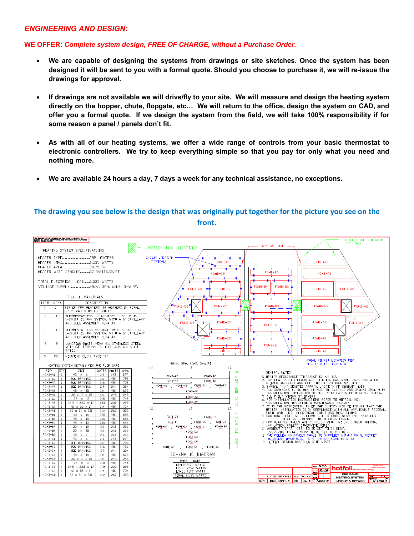#### *ENGINEERING AND DESIGN:*

### **WE OFFER:** *Complete system design, FREE OF CHARGE, without a Purchase Order.*

- **We are capable of designing the systems from drawings or site sketches. Once the system has been designed it will be sent to you with a formal quote. Should you choose to purchase it, we will re-issue the drawings for approval.**
- **If drawings are not available we will drive/fly to your site. We will measure and design the heating system directly on the hopper, chute, flopgate, etc… We will return to the office, design the system on CAD, and offer you a formal quote. If we design the system from the field, we will take 100% responsibility if for some reason a panel / panels don't fit.**
- **As with all of our heating systems, we offer a wide range of controls from your basic thermostat to electronic controllers. We try to keep everything simple so that you pay for only what you need and nothing more.**
- **We are available 24 hours a day, 7 days a week for any technical assistance, no exceptions.**

### **The drawing you see below is the design that was originally put together for the picture you see on the front.**